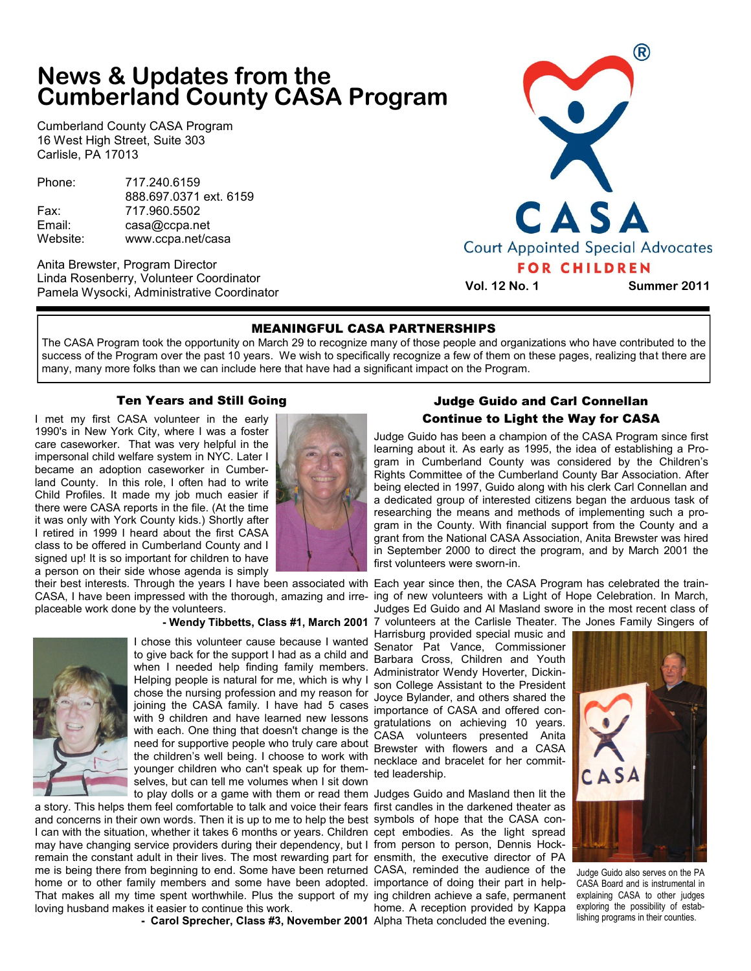# **News & Updates from the Cumberland County CASA Program**

Cumberland County CASA Program 16 West High Street, Suite 303 Carlisle, PA 17013

Phone: 717.240.6159 888.697.0371 ext. 6159 Fax: 717.960.5502 Email: casa@ccpa.net Website: www.ccpa.net/casa

Anita Brewster, Program Director Linda Rosenberry, Volunteer Coordinator Pamela Wysocki, Administrative Coordinator



**Vol. 12 No. 1 Summer 2011**

### MEANINGFUL CASA PARTNERSHIPS

The CASA Program took the opportunity on March 29 to recognize many of those people and organizations who have contributed to the success of the Program over the past 10 years. We wish to specifically recognize a few of them on these pages, realizing that there are many, many more folks than we can include here that have had a significant impact on the Program.

## Ten Years and Still Going

I met my first CASA volunteer in the early 1990's in New York City, where I was a foster care caseworker. That was very helpful in the impersonal child welfare system in NYC. Later I became an adoption caseworker in Cumberland County. In this role, I often had to write Child Profiles. It made my job much easier if there were CASA reports in the file. (At the time it was only with York County kids.) Shortly after I retired in 1999 I heard about the first CASA class to be offered in Cumberland County and I signed up! It is so important for children to have a person on their side whose agenda is simply

CASA, I have been impressed with the thorough, amazing and irreplaceable work done by the volunteers.

#### **- Wendy Tibbetts, Class #1, March 2001**



I chose this volunteer cause because I wanted to give back for the support I had as a child and when I needed help finding family members. Helping people is natural for me, which is why I chose the nursing profession and my reason for joining the CASA family. I have had 5 cases with 9 children and have learned new lessons with each. One thing that doesn't change is the need for supportive people who truly care about the children's well being. I choose to work with younger children who can't speak up for themselves, but can tell me volumes when I sit down

a story. This helps them feel comfortable to talk and voice their fears first candles in the darkened theater as and concerns in their own words. Then it is up to me to help the best symbols of hope that the CASA con-I can with the situation, whether it takes 6 months or years. Children cept embodies. As the light spread may have changing service providers during their dependency, but I from person to person, Dennis Hockremain the constant adult in their lives. The most rewarding part for ensmith, the executive director of PA me is being there from beginning to end. Some have been returned CASA, reminded the audience of the home or to other family members and some have been adopted. importance of doing their part in help-That makes all my time spent worthwhile. Plus the support of my ing children achieve a safe, permanent loving husband makes it easier to continue this work.

**- Carol Sprecher, Class #3, November 2001** Alpha Theta concluded the evening.

## Judge Guido and Carl Connellan Continue to Light the Way for CASA

Judge Guido has been a champion of the CASA Program since first learning about it. As early as 1995, the idea of establishing a Program in Cumberland County was considered by the Children's Rights Committee of the Cumberland County Bar Association. After being elected in 1997, Guido along with his clerk Carl Connellan and a dedicated group of interested citizens began the arduous task of researching the means and methods of implementing such a program in the County. With financial support from the County and a grant from the National CASA Association, Anita Brewster was hired in September 2000 to direct the program, and by March 2001 the first volunteers were sworn-in.

their best interests. Through the years I have been associated with Each year since then, the CASA Program has celebrated the training of new volunteers with a Light of Hope Celebration. In March, Judges Ed Guido and Al Masland swore in the most recent class of 7 volunteers at the Carlisle Theater. The Jones Family Singers of

Harrisburg provided special music and Senator Pat Vance, Commissioner Barbara Cross, Children and Youth Administrator Wendy Hoverter, Dickinson College Assistant to the President Joyce Bylander, and others shared the importance of CASA and offered congratulations on achieving 10 years. CASA volunteers presented Anita Brewster with flowers and a CASA necklace and bracelet for her committed leadership.

to play dolls or a game with them or read them Judges Guido and Masland then lit the home. A reception provided by Kappa



Judge Guido also serves on the PA CASA Board and is instrumental in explaining CASA to other judges exploring the possibility of establishing programs in their counties.

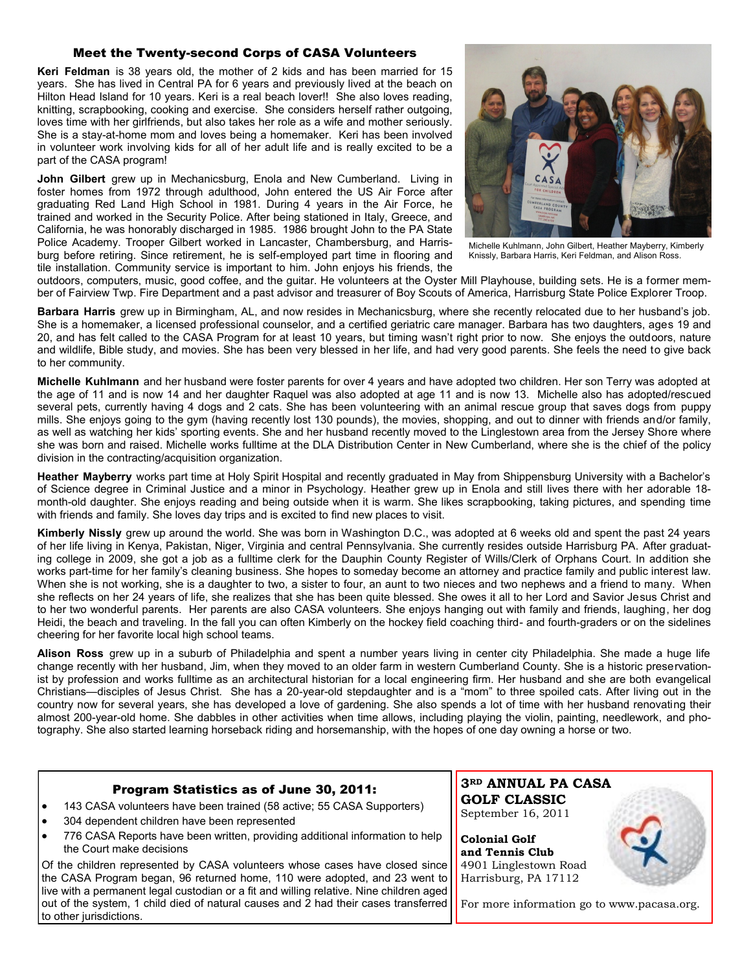## Meet the Twenty-second Corps of CASA Volunteers

**Keri Feldman** is 38 years old, the mother of 2 kids and has been married for 15 years. She has lived in Central PA for 6 years and previously lived at the beach on Hilton Head Island for 10 years. Keri is a real beach lover!! She also loves reading, knitting, scrapbooking, cooking and exercise. She considers herself rather outgoing, loves time with her girlfriends, but also takes her role as a wife and mother seriously. She is a stay-at-home mom and loves being a homemaker. Keri has been involved in volunteer work involving kids for all of her adult life and is really excited to be a part of the CASA program!

**John Gilbert** grew up in Mechanicsburg, Enola and New Cumberland. Living in foster homes from 1972 through adulthood, John entered the US Air Force after graduating Red Land High School in 1981. During 4 years in the Air Force, he trained and worked in the Security Police. After being stationed in Italy, Greece, and California, he was honorably discharged in 1985. 1986 brought John to the PA State Police Academy. Trooper Gilbert worked in Lancaster, Chambersburg, and Harrisburg before retiring. Since retirement, he is self-employed part time in flooring and tile installation. Community service is important to him. John enjoys his friends, the

to other jurisdictions.



Michelle Kuhlmann, John Gilbert, Heather Mayberry, Kimberly Knissly, Barbara Harris, Keri Feldman, and Alison Ross.

outdoors, computers, music, good coffee, and the guitar. He volunteers at the Oyster Mill Playhouse, building sets. He is a former member of Fairview Twp. Fire Department and a past advisor and treasurer of Boy Scouts of America, Harrisburg State Police Explorer Troop.

**Barbara Harris** grew up in Birmingham, AL, and now resides in Mechanicsburg, where she recently relocated due to her husband's job. She is a homemaker, a licensed professional counselor, and a certified geriatric care manager. Barbara has two daughters, ages 19 and 20, and has felt called to the CASA Program for at least 10 years, but timing wasn't right prior to now. She enjoys the outdoors, nature and wildlife, Bible study, and movies. She has been very blessed in her life, and had very good parents. She feels the need to give back to her community.

**Michelle Kuhlmann** and her husband were foster parents for over 4 years and have adopted two children. Her son Terry was adopted at the age of 11 and is now 14 and her daughter Raquel was also adopted at age 11 and is now 13. Michelle also has adopted/rescued several pets, currently having 4 dogs and 2 cats. She has been volunteering with an animal rescue group that saves dogs from puppy mills. She enjoys going to the gym (having recently lost 130 pounds), the movies, shopping, and out to dinner with friends and/or family, as well as watching her kids' sporting events. She and her husband recently moved to the Linglestown area from the Jersey Shore where she was born and raised. Michelle works fulltime at the DLA Distribution Center in New Cumberland, where she is the chief of the policy division in the contracting/acquisition organization.

**Heather Mayberry** works part time at Holy Spirit Hospital and recently graduated in May from Shippensburg University with a Bachelor's of Science degree in Criminal Justice and a minor in Psychology. Heather grew up in Enola and still lives there with her adorable 18 month-old daughter. She enjoys reading and being outside when it is warm. She likes scrapbooking, taking pictures, and spending time with friends and family. She loves day trips and is excited to find new places to visit.

**Kimberly Nissly** grew up around the world. She was born in Washington D.C., was adopted at 6 weeks old and spent the past 24 years of her life living in Kenya, Pakistan, Niger, Virginia and central Pennsylvania. She currently resides outside Harrisburg PA. After graduating college in 2009, she got a job as a fulltime clerk for the Dauphin County Register of Wills/Clerk of Orphans Court. In addition she works part-time for her family's cleaning business. She hopes to someday become an attorney and practice family and public interest law. When she is not working, she is a daughter to two, a sister to four, an aunt to two nieces and two nephews and a friend to many. When she reflects on her 24 years of life, she realizes that she has been quite blessed. She owes it all to her Lord and Savior Jesus Christ and to her two wonderful parents. Her parents are also CASA volunteers. She enjoys hanging out with family and friends, laughing, her dog Heidi, the beach and traveling. In the fall you can often Kimberly on the hockey field coaching third- and fourth-graders or on the sidelines cheering for her favorite local high school teams.

**Alison Ross** grew up in a suburb of Philadelphia and spent a number years living in center city Philadelphia. She made a huge life change recently with her husband, Jim, when they moved to an older farm in western Cumberland County. She is a historic preservationist by profession and works fulltime as an architectural historian for a local engineering firm. Her husband and she are both evangelical Christians—disciples of Jesus Christ. She has a 20-year-old stepdaughter and is a "mom" to three spoiled cats. After living out in the country now for several years, she has developed a love of gardening. She also spends a lot of time with her husband renovating their almost 200-year-old home. She dabbles in other activities when time allows, including playing the violin, painting, needlework, and photography. She also started learning horseback riding and horsemanship, with the hopes of one day owning a horse or two.

| Program Statistics as of June 30, 2011:                                                                                                                                                                                     | 3RD ANNUAL PA CASA  |
|-----------------------------------------------------------------------------------------------------------------------------------------------------------------------------------------------------------------------------|---------------------|
| 143 CASA volunteers have been trained (58 active; 55 CASA Supporters)                                                                                                                                                       | <b>GOLF CLASSIC</b> |
| 304 dependent children have been represented                                                                                                                                                                                | September 16, 2011  |
| 776 CASA Reports have been written, providing additional information to help                                                                                                                                                | Colonial Golf       |
| the Court make decisions                                                                                                                                                                                                    | and Tennis Club     |
| Of the children represented by CASA volunteers whose cases have closed since   4901 Linglestown Road<br>the CASA Program began, 96 returned home, 110 were adopted, and 23 went to $\parallel$ Harrisburg, PA 17112         |                     |
| live with a permanent legal custodian or a fit and willing relative. Nine children aged<br>out of the system, 1 child died of natural causes and 2 had their cases transferred   For more information go to www.pacasa.org. |                     |

or more information go to www.pacasa.org.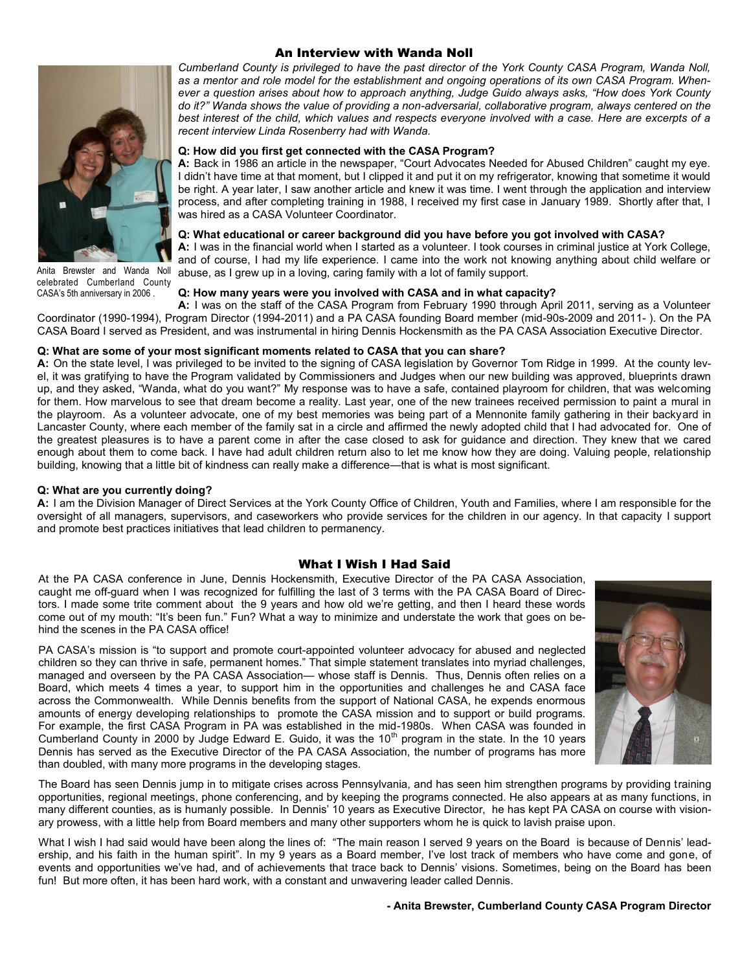

Anita Brewster and Wanda Noll celebrated Cumberland County CASA's 5th anniversary in 2006 .

## An Interview with Wanda Noll

*Cumberland County is privileged to have the past director of the York County CASA Program, Wanda Noll, as a mentor and role model for the establishment and ongoing operations of its own CASA Program. Whenever a question arises about how to approach anything, Judge Guido always asks, "How does York County do it?" Wanda shows the value of providing a non-adversarial, collaborative program, always centered on the best interest of the child, which values and respects everyone involved with a case. Here are excerpts of a recent interview Linda Rosenberry had with Wanda.*

#### **Q: How did you first get connected with the CASA Program?**

**A:** Back in 1986 an article in the newspaper, "Court Advocates Needed for Abused Children" caught my eye. I didn't have time at that moment, but I clipped it and put it on my refrigerator, knowing that sometime it would be right. A year later, I saw another article and knew it was time. I went through the application and interview process, and after completing training in 1988, I received my first case in January 1989. Shortly after that, I was hired as a CASA Volunteer Coordinator.

#### **Q: What educational or career background did you have before you got involved with CASA?**

**A:** I was in the financial world when I started as a volunteer. I took courses in criminal justice at York College, and of course, I had my life experience. I came into the work not knowing anything about child welfare or abuse, as I grew up in a loving, caring family with a lot of family support.

## **Q: How many years were you involved with CASA and in what capacity?**

**A:** I was on the staff of the CASA Program from February 1990 through April 2011, serving as a Volunteer Coordinator (1990-1994), Program Director (1994-2011) and a PA CASA founding Board member (mid-90s-2009 and 2011- ). On the PA CASA Board I served as President, and was instrumental in hiring Dennis Hockensmith as the PA CASA Association Executive Director.

#### **Q: What are some of your most significant moments related to CASA that you can share?**

**A:** On the state level, I was privileged to be invited to the signing of CASA legislation by Governor Tom Ridge in 1999. At the county level, it was gratifying to have the Program validated by Commissioners and Judges when our new building was approved, blueprints drawn up, and they asked, "Wanda, what do you want?" My response was to have a safe, contained playroom for children, that was welcoming for them. How marvelous to see that dream become a reality. Last year, one of the new trainees received permission to paint a mural in the playroom. As a volunteer advocate, one of my best memories was being part of a Mennonite family gathering in their backyard in Lancaster County, where each member of the family sat in a circle and affirmed the newly adopted child that I had advocated for. One of the greatest pleasures is to have a parent come in after the case closed to ask for guidance and direction. They knew that we cared enough about them to come back. I have had adult children return also to let me know how they are doing. Valuing people, relationship building, knowing that a little bit of kindness can really make a difference—that is what is most significant.

#### **Q: What are you currently doing?**

**A:** I am the Division Manager of Direct Services at the York County Office of Children, Youth and Families, where I am responsible for the oversight of all managers, supervisors, and caseworkers who provide services for the children in our agency. In that capacity I support and promote best practices initiatives that lead children to permanency.

#### What I Wish I Had Said

At the PA CASA conference in June, Dennis Hockensmith, Executive Director of the PA CASA Association, caught me off-guard when I was recognized for fulfilling the last of 3 terms with the PA CASA Board of Directors. I made some trite comment about the 9 years and how old we're getting, and then I heard these words come out of my mouth: "It's been fun." Fun? What a way to minimize and understate the work that goes on behind the scenes in the PA CASA office!

PA CASA's mission is "to support and promote court-appointed volunteer advocacy for abused and neglected children so they can thrive in safe, permanent homes." That simple statement translates into myriad challenges, managed and overseen by the PA CASA Association— whose staff is Dennis. Thus, Dennis often relies on a Board, which meets 4 times a year, to support him in the opportunities and challenges he and CASA face across the Commonwealth. While Dennis benefits from the support of National CASA, he expends enormous amounts of energy developing relationships to promote the CASA mission and to support or build programs. For example, the first CASA Program in PA was established in the mid-1980s. When CASA was founded in Cumberland County in 2000 by Judge Edward E. Guido, it was the 10<sup>th</sup> program in the state. In the 10 years Dennis has served as the Executive Director of the PA CASA Association, the number of programs has more than doubled, with many more programs in the developing stages.



The Board has seen Dennis jump in to mitigate crises across Pennsylvania, and has seen him strengthen programs by providing training opportunities, regional meetings, phone conferencing, and by keeping the programs connected. He also appears at as many functions, in many different counties, as is humanly possible. In Dennis' 10 years as Executive Director, he has kept PA CASA on course with visionary prowess, with a little help from Board members and many other supporters whom he is quick to lavish praise upon.

What I wish I had said would have been along the lines of: "The main reason I served 9 years on the Board is because of Dennis' leadership, and his faith in the human spirit". In my 9 years as a Board member, I've lost track of members who have come and gone, of events and opportunities we've had, and of achievements that trace back to Dennis' visions. Sometimes, being on the Board has been fun! But more often, it has been hard work, with a constant and unwavering leader called Dennis.